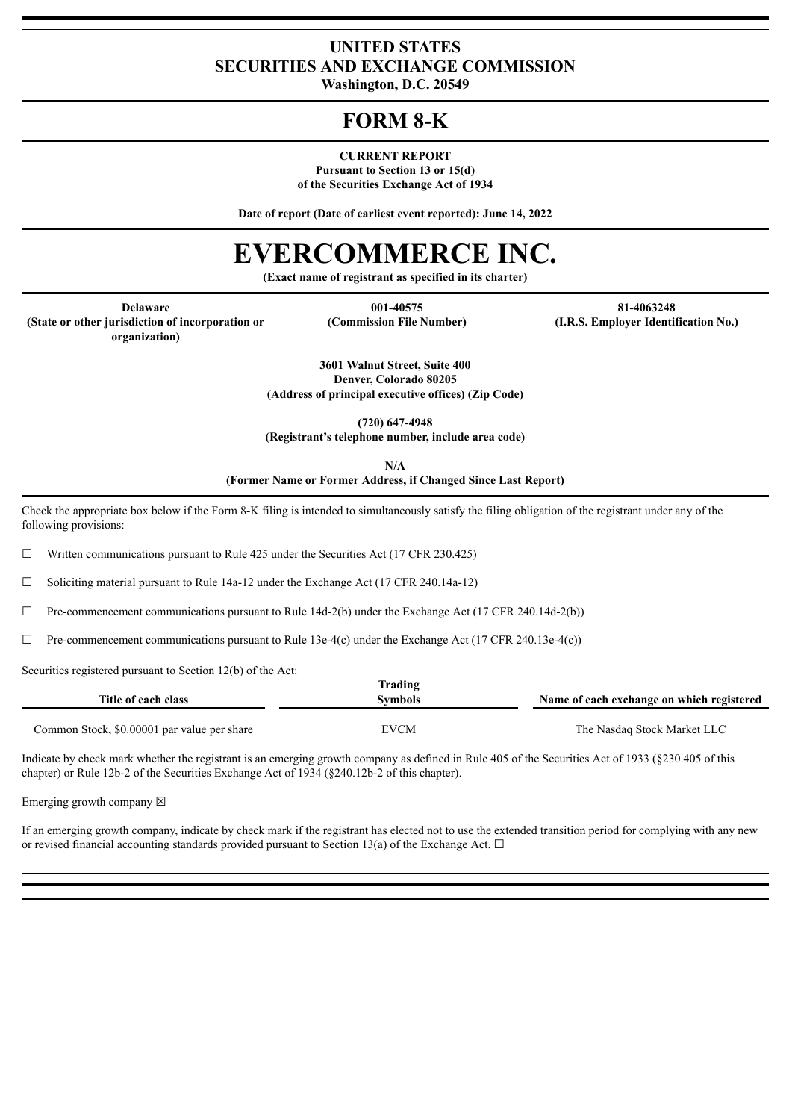### **UNITED STATES SECURITIES AND EXCHANGE COMMISSION**

**Washington, D.C. 20549**

## **FORM 8-K**

**CURRENT REPORT**

**Pursuant to Section 13 or 15(d) of the Securities Exchange Act of 1934**

**Date of report (Date of earliest event reported): June 14, 2022**

# **EVERCOMMERCE INC.**

**(Exact name of registrant as specified in its charter)**

**(State or other jurisdiction of incorporation or**

**Delaware 001-40575 81-4063248**

**(Commission File Number) (I.R.S. Employer Identification No.)**

**organization)**

**3601 Walnut Street, Suite 400 Denver, Colorado 80205**

**(Address of principal executive offices) (Zip Code)**

**(720) 647-4948**

**(Registrant's telephone number, include area code)**

**N/A (Former Name or Former Address, if Changed Since Last Report)**

Check the appropriate box below if the Form 8-K filing is intended to simultaneously satisfy the filing obligation of the registrant under any of the following provisions:

 $\Box$  Written communications pursuant to Rule 425 under the Securities Act (17 CFR 230.425)

 $\Box$  Soliciting material pursuant to Rule 14a-12 under the Exchange Act (17 CFR 240.14a-12)

 $\Box$  Pre-commencement communications pursuant to Rule 14d-2(b) under the Exchange Act (17 CFR 240.14d-2(b))

 $\Box$  Pre-commencement communications pursuant to Rule 13e-4(c) under the Exchange Act (17 CFR 240.13e-4(c))

Securities registered pursuant to Section 12(b) of the Act:

| Title of each class                         | Trading<br>Symbols | Name of each exchange on which registered |
|---------------------------------------------|--------------------|-------------------------------------------|
| Common Stock, \$0,00001 par value per share | EVCM               | The Nasdaq Stock Market LLC               |

Indicate by check mark whether the registrant is an emerging growth company as defined in Rule 405 of the Securities Act of 1933 (§230.405 of this chapter) or Rule 12b-2 of the Securities Exchange Act of 1934 (§240.12b-2 of this chapter).

Emerging growth company  $\boxtimes$ 

If an emerging growth company, indicate by check mark if the registrant has elected not to use the extended transition period for complying with any new or revised financial accounting standards provided pursuant to Section 13(a) of the Exchange Act.  $\Box$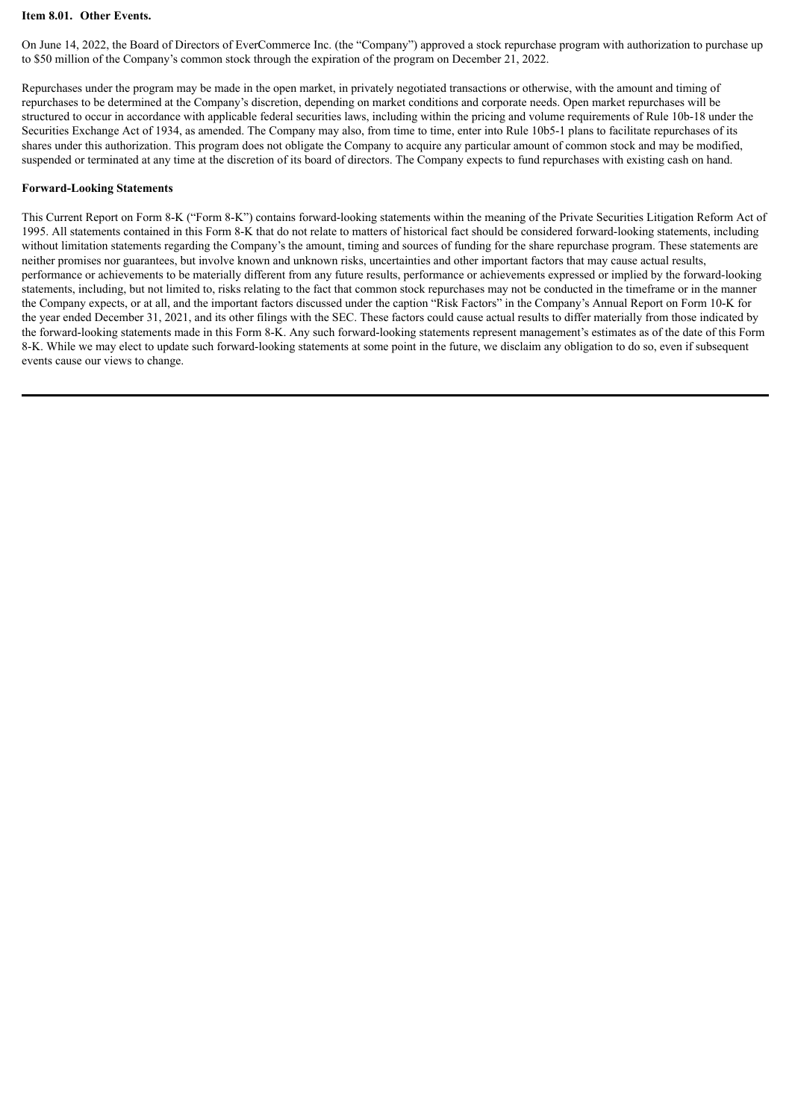#### **Item 8.01. Other Events.**

On June 14, 2022, the Board of Directors of EverCommerce Inc. (the "Company") approved a stock repurchase program with authorization to purchase up to \$50 million of the Company's common stock through the expiration of the program on December 21, 2022.

Repurchases under the program may be made in the open market, in privately negotiated transactions or otherwise, with the amount and timing of repurchases to be determined at the Company's discretion, depending on market conditions and corporate needs. Open market repurchases will be structured to occur in accordance with applicable federal securities laws, including within the pricing and volume requirements of Rule 10b-18 under the Securities Exchange Act of 1934, as amended. The Company may also, from time to time, enter into Rule 10b5-1 plans to facilitate repurchases of its shares under this authorization. This program does not obligate the Company to acquire any particular amount of common stock and may be modified, suspended or terminated at any time at the discretion of its board of directors. The Company expects to fund repurchases with existing cash on hand.

#### **Forward-Looking Statements**

This Current Report on Form 8-K ("Form 8-K") contains forward-looking statements within the meaning of the Private Securities Litigation Reform Act of 1995. All statements contained in this Form 8-K that do not relate to matters of historical fact should be considered forward-looking statements, including without limitation statements regarding the Company's the amount, timing and sources of funding for the share repurchase program. These statements are neither promises nor guarantees, but involve known and unknown risks, uncertainties and other important factors that may cause actual results, performance or achievements to be materially different from any future results, performance or achievements expressed or implied by the forward-looking statements, including, but not limited to, risks relating to the fact that common stock repurchases may not be conducted in the timeframe or in the manner the Company expects, or at all, and the important factors discussed under the caption "Risk Factors" in the Company's Annual Report on Form 10-K for the year ended December 31, 2021, and its other filings with the SEC. These factors could cause actual results to differ materially from those indicated by the forward-looking statements made in this Form 8-K. Any such forward-looking statements represent management's estimates as of the date of this Form 8-K. While we may elect to update such forward-looking statements at some point in the future, we disclaim any obligation to do so, even if subsequent events cause our views to change.